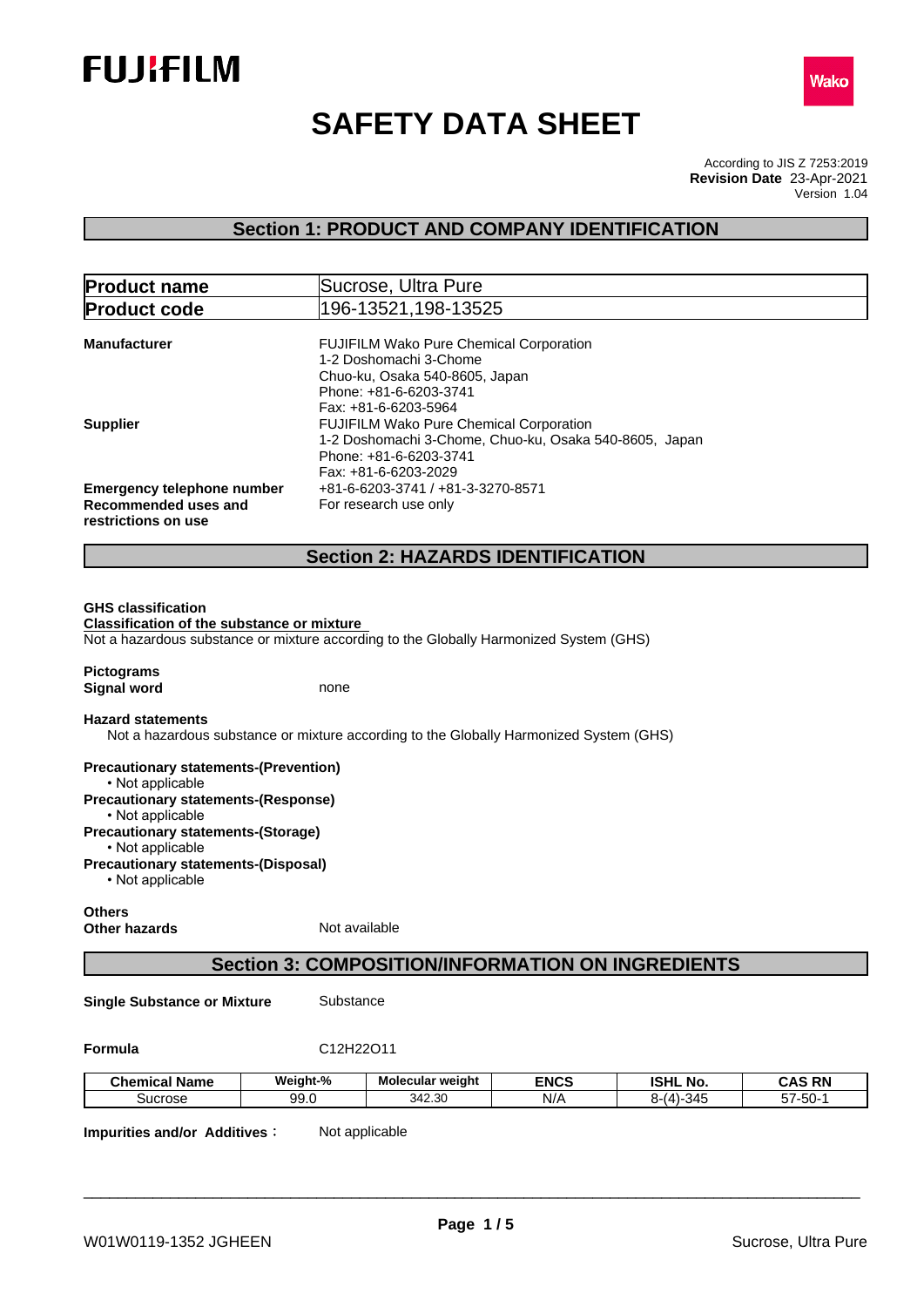



# **SAFETY DATA SHEET**

According to JIS Z 7253:2019 Version 1.04 **Revision Date** 23-Apr-2021

# **Section 1: PRODUCT AND COMPANY IDENTIFICATION**

| <b>Product name</b>                                                                          | Sucrose, Ultra Pure                                                                                                                                                                |
|----------------------------------------------------------------------------------------------|------------------------------------------------------------------------------------------------------------------------------------------------------------------------------------|
| <b>Product code</b>                                                                          | 196-13521,198-13525                                                                                                                                                                |
| <b>Manufacturer</b>                                                                          | FUJIFILM Wako Pure Chemical Corporation<br>1-2 Doshomachi 3-Chome<br>Chuo-ku, Osaka 540-8605, Japan<br>Phone: +81-6-6203-3741                                                      |
| <b>Supplier</b>                                                                              | Fax: +81-6-6203-5964<br><b>FUJIFILM Wako Pure Chemical Corporation</b><br>1-2 Doshomachi 3-Chome, Chuo-ku, Osaka 540-8605, Japan<br>Phone: +81-6-6203-3741<br>Fax: +81-6-6203-2029 |
| <b>Emergency telephone number</b><br>Recommended uses and<br>restrictions on use             | +81-6-6203-3741 / +81-3-3270-8571<br>For research use only                                                                                                                         |
|                                                                                              | <b>Section 2: HAZARDS IDENTIFICATION</b>                                                                                                                                           |
| <b>Classification of the substance or mixture</b><br><b>Pictograms</b><br><b>Signal word</b> | Not a hazardous substance or mixture according to the Globally Harmonized System (GHS)<br>none                                                                                     |
| <b>Hazard statements</b>                                                                     | Not a hazardous substance or mixture according to the Globally Harmonized System (GHS)                                                                                             |
| <b>Precautionary statements-(Prevention)</b><br>• Not applicable                             |                                                                                                                                                                                    |
| <b>Precautionary statements-(Response)</b><br>• Not applicable                               |                                                                                                                                                                                    |
| <b>Precautionary statements-(Storage)</b><br>• Not applicable                                |                                                                                                                                                                                    |
| <b>Precautionary statements-(Disposal)</b><br>• Not applicable                               |                                                                                                                                                                                    |
| <b>Others</b><br><b>Other hazards</b>                                                        | Not available                                                                                                                                                                      |
|                                                                                              | <b>Section 3: COMPOSITION/INFORMATION ON INGREDIENTS</b>                                                                                                                           |

**Single Substance or Mixture** Substance

**Formula** C12H22O11

| .<br><b>Chemical Name</b> | Weight-%     | Molecular weight | <b>ENCS</b> | <b>ISHL</b><br>$ -$<br>. NO. | <b>CAS RN</b>                                   |
|---------------------------|--------------|------------------|-------------|------------------------------|-------------------------------------------------|
| Sucrose                   | aa r<br>ອອ.ບ | 30<br>342.30     | N/f         | $\sim$ $\sim$<br>.34:<br>. . | --<br>$ \sim$<br>-UC<br>$\cdot$ $\cdot$ $\cdot$ |

**Impurities and/or Additives:** Not applicable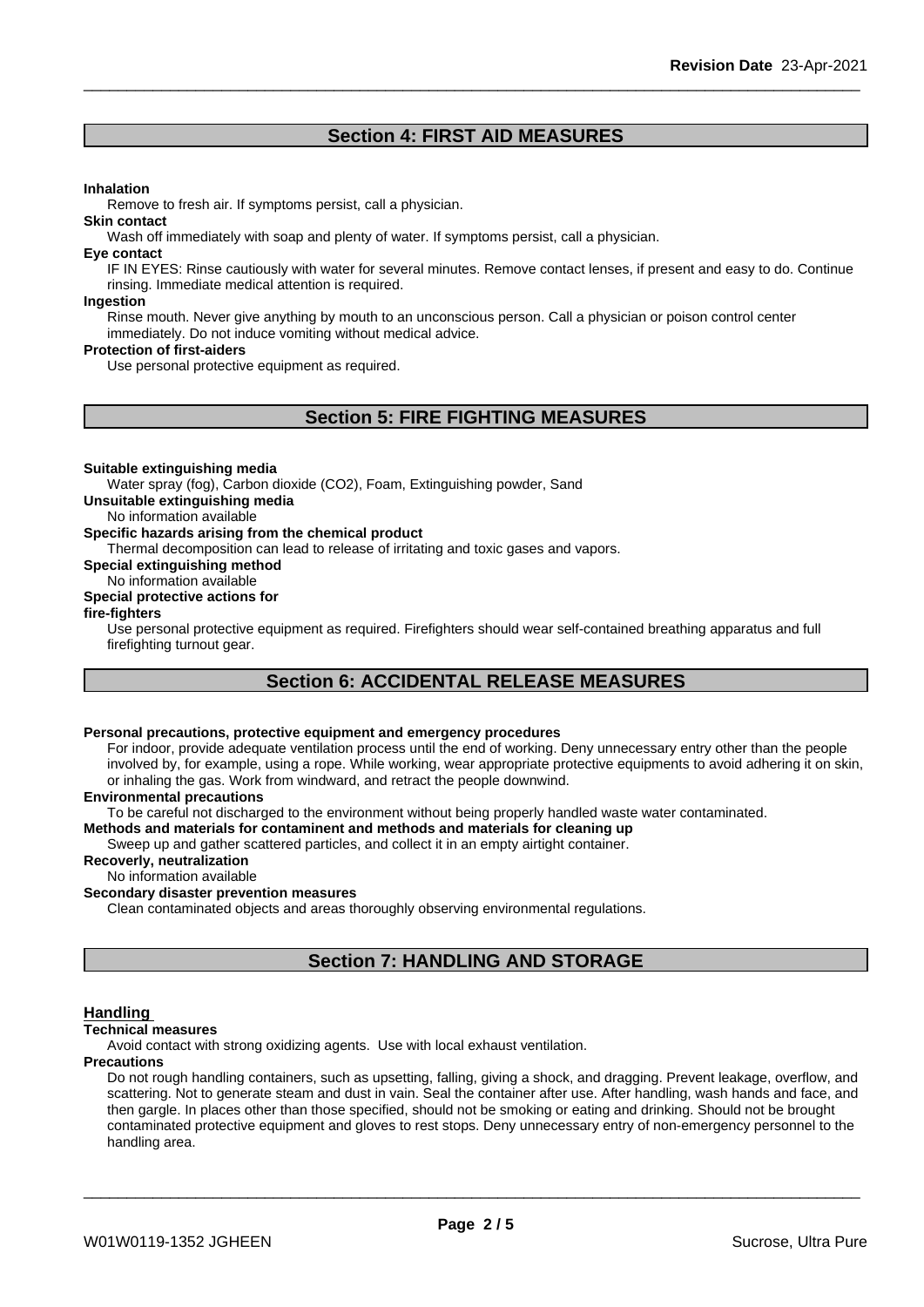# **Section 4: FIRST AID MEASURES**

#### **Inhalation**

Remove to fresh air. If symptoms persist, call a physician.

#### **Skin contact**

Wash off immediately with soap and plenty of water. If symptoms persist, call a physician.

#### **Eye contact**

IF IN EYES: Rinse cautiously with water for several minutes. Remove contact lenses, if present and easy to do. Continue rinsing. Immediate medical attention is required.

#### **Ingestion**

Rinse mouth. Never give anything by mouth to an unconscious person. Call a physician or poison control center immediately. Do not induce vomiting without medical advice.

#### **Protection of first-aiders**

Use personal protective equipment as required.

# **Section 5: FIRE FIGHTING MEASURES**

#### **Suitable extinguishing media**

Water spray (fog), Carbon dioxide (CO2), Foam, Extinguishing powder, Sand

**Unsuitable extinguishing media**

No information available

#### **Specific hazards arising from the chemical product**

Thermal decomposition can lead to release of irritating and toxic gases and vapors.

**Special extinguishing method**

### No information available

# **Special protective actions for**

#### **fire-fighters**

Use personal protective equipment as required.Firefighters should wear self-contained breathing apparatus and full firefighting turnout gear.

# **Section 6: ACCIDENTAL RELEASE MEASURES**

### **Personal precautions, protective equipment and emergency procedures**

For indoor, provide adequate ventilation process until the end of working. Deny unnecessary entry other than the people involved by, for example, using a rope. While working, wear appropriate protective equipments to avoid adhering it on skin, or inhaling the gas. Work from windward, and retract the people downwind.

#### **Environmental precautions**

To be careful not discharged to the environment without being properly handled waste water contaminated.

#### **Methods and materials for contaminent and methods and materials for cleaning up**

Sweep up and gather scattered particles, and collect it in an empty airtight container.

#### **Recoverly, neutralization**

No information available

#### **Secondary disaster prevention measures**

Clean contaminated objects and areas thoroughly observing environmental regulations.

# **Section 7: HANDLING AND STORAGE**

#### **Handling**

#### **Technical measures**

Avoid contact with strong oxidizing agents. Use with local exhaust ventilation.

#### **Precautions**

Do not rough handling containers, such as upsetting, falling, giving a shock, and dragging. Prevent leakage, overflow, and scattering. Not to generate steam and dust in vain. Seal the container after use. After handling, wash hands and face, and then gargle. In places other than those specified, should not be smoking or eating and drinking. Should not be brought contaminated protective equipment and gloves to rest stops. Deny unnecessary entry of non-emergency personnel to the handling area.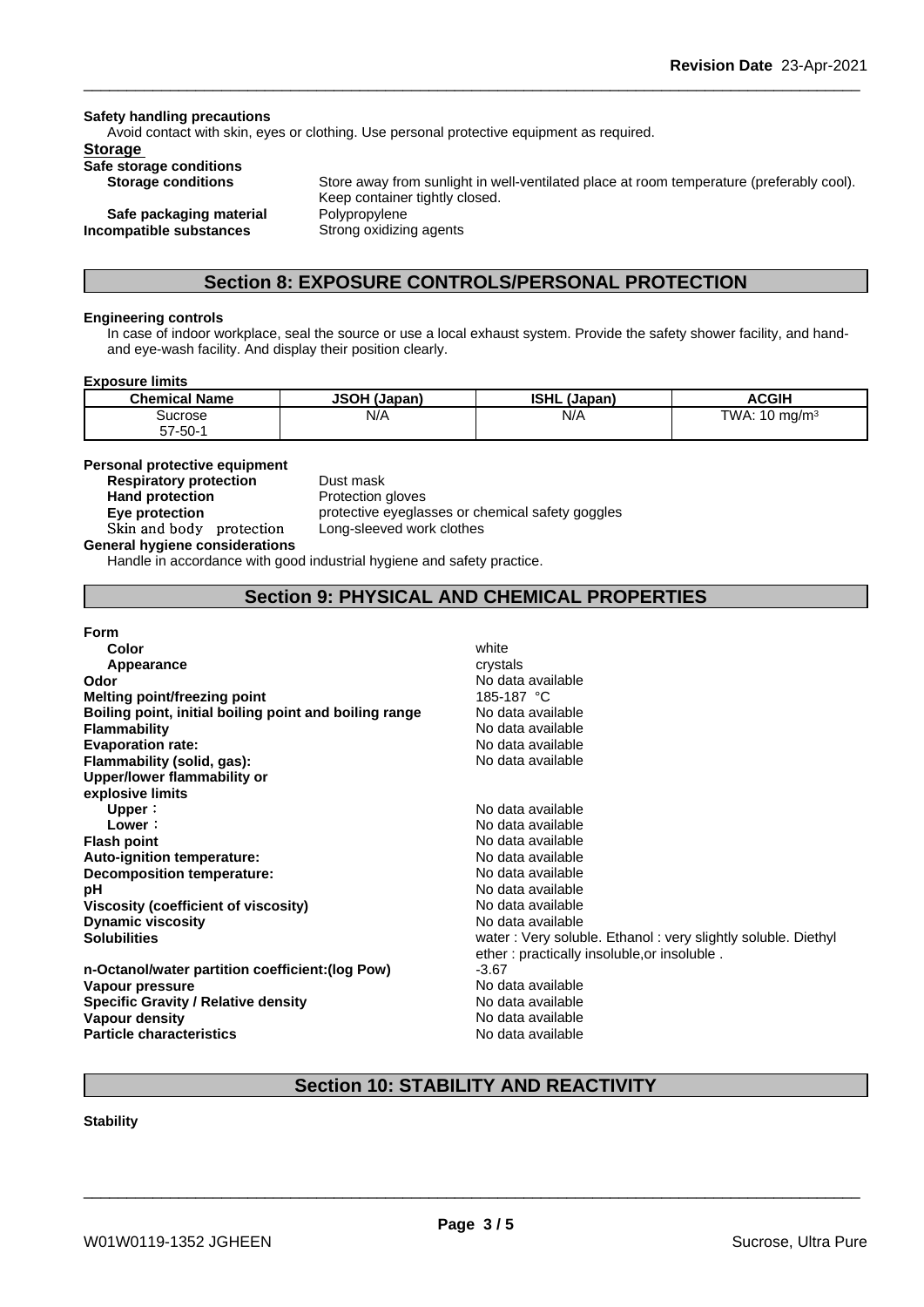#### **Safety handling precautions**

Avoid contact with skin, eyes or clothing. Use personal protective equipment as required.

### **Storage**

**Safe storage conditions**

**Safe packaging material Polypropylene Incompatible substances** Strong oxidizing agents

**Storage conditions** Store away from sunlight in well-ventilated place at room temperature (preferably cool). Keep container tightly closed.

# **Section 8: EXPOSURE CONTROLS/PERSONAL PROTECTION**

#### **Engineering controls**

In case of indoor workplace, seal the source or use a local exhaust system. Provide the safety shower facility, and handand eye-wash facility. And display their position clearly.

#### **Exposure limits**

| <b>Chemical Name</b> | <b>JSOH (Japan)</b> | <b>ISHL</b><br>. (Japan) | <b>ACGIH</b>               |
|----------------------|---------------------|--------------------------|----------------------------|
| Sucrose              | N/A                 | N/A                      | TWA:<br>10 mg/m $^{\circ}$ |
| $57 - 50 - 1$        |                     |                          |                            |

#### **Personal protective equipment**

**Respiratory protection** Dust mask **Hand protection** Protection gloves **Skinandbody protection** Long-sleeved work clothes

**Eye protection Exercise protective eyeglasses or chemical safety goggles** 

### **General hygiene considerations**

Handle in accordance with good industrial hygiene and safety practice.

## **Section 9: PHYSICAL AND CHEMICAL PROPERTIES**

#### **Form**

| Color                                                  | white                                                        |
|--------------------------------------------------------|--------------------------------------------------------------|
| Appearance                                             | crystals                                                     |
| Odor                                                   | No data available                                            |
| <b>Melting point/freezing point</b>                    | 185-187 °C                                                   |
| Boiling point, initial boiling point and boiling range | No data available                                            |
| <b>Flammability</b>                                    | No data available                                            |
| <b>Evaporation rate:</b>                               | No data available                                            |
| Flammability (solid, gas):                             | No data available                                            |
| Upper/lower flammability or                            |                                                              |
| explosive limits                                       |                                                              |
| Upper:                                                 | No data available                                            |
| Lower:                                                 | No data available                                            |
| <b>Flash point</b>                                     | No data available                                            |
| Auto-ignition temperature:                             | No data available                                            |
| Decomposition temperature:                             | No data available                                            |
| рH                                                     | No data available                                            |
| Viscosity (coefficient of viscosity)                   | No data available                                            |
| <b>Dynamic viscosity</b>                               | No data available                                            |
| <b>Solubilities</b>                                    | water: Very soluble. Ethanol: very slightly soluble. Diethyl |
|                                                        | ether: practically insoluble, or insoluble.                  |
| n-Octanol/water partition coefficient: (log Pow)       | $-3.67$                                                      |
| Vapour pressure                                        | No data available                                            |
| <b>Specific Gravity / Relative density</b>             | No data available                                            |
| Vapour density                                         | No data available                                            |
| <b>Particle characteristics</b>                        | No data available                                            |
|                                                        |                                                              |

# **Section 10: STABILITY AND REACTIVITY**

#### **Stability**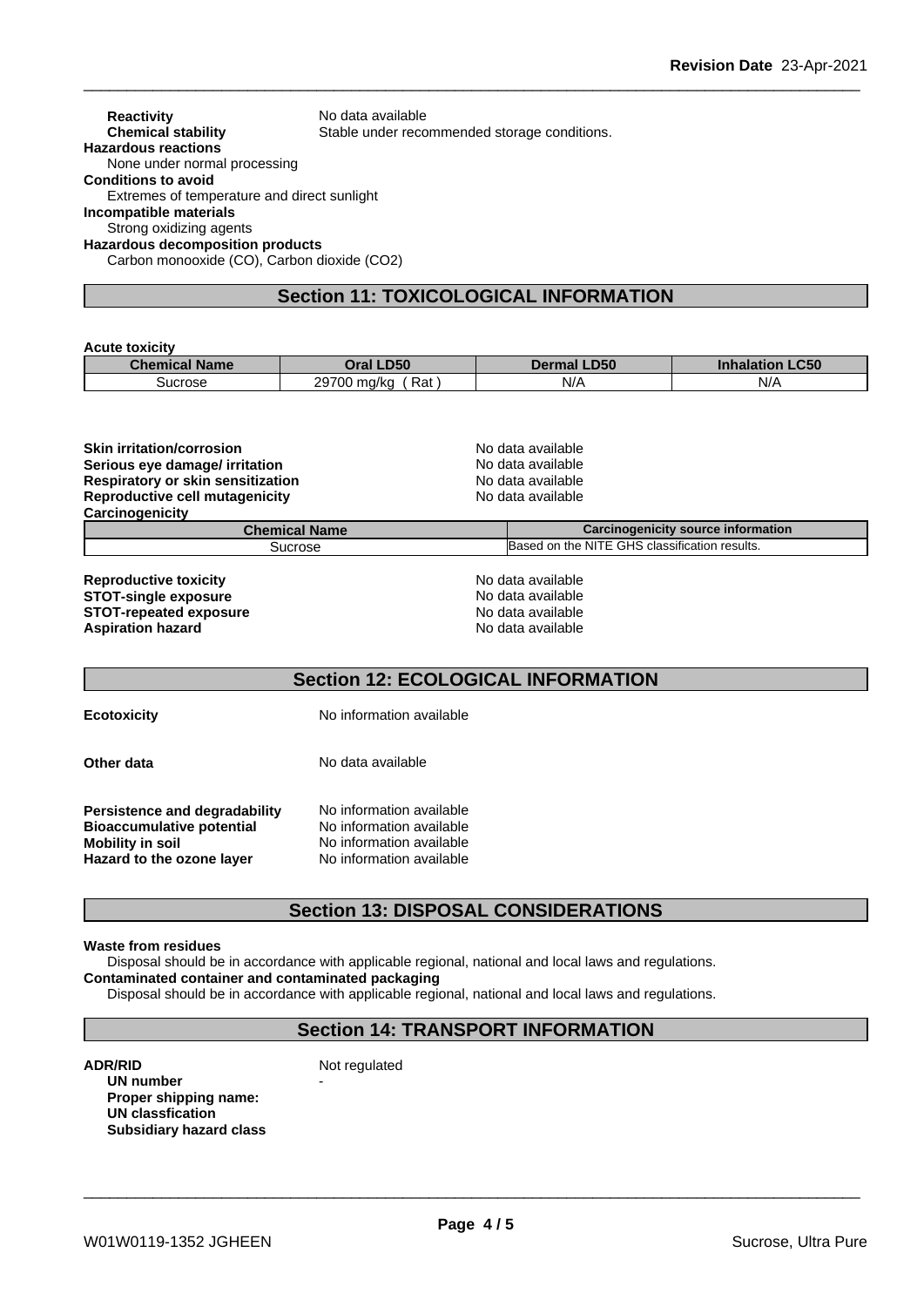| <b>Reactivity</b>                           | No data available                            |
|---------------------------------------------|----------------------------------------------|
| <b>Chemical stability</b>                   | Stable under recommended storage conditions. |
| <b>Hazardous reactions</b>                  |                                              |
| None under normal processing                |                                              |
| <b>Conditions to avoid</b>                  |                                              |
| Extremes of temperature and direct sunlight |                                              |
| Incompatible materials                      |                                              |
| Strong oxidizing agents                     |                                              |
| <b>Hazardous decomposition products</b>     |                                              |
| Carbon monooxide (CO), Carbon dioxide (CO2) |                                              |

# **Section 11: TOXICOLOGICAL INFORMATION**

#### **Acute toxicity**

| Chemical <sub>b</sub><br><b>Name</b> | <b>D50</b><br><b>Tro</b><br>ла    | <b>LD50</b><br>De | C50<br>Inneledon  |
|--------------------------------------|-----------------------------------|-------------------|-------------------|
| Sucrose                              | <b>00700</b><br>Rat<br>ma/kc<br>້ | N/A               | $N$ /<br>$\cdots$ |

| <b>Skin irritation/corrosion</b>         | No data available                             |  |  |
|------------------------------------------|-----------------------------------------------|--|--|
| Serious eye damage/ irritation           | No data available                             |  |  |
| <b>Respiratory or skin sensitization</b> | No data available                             |  |  |
| Reproductive cell mutagenicity           | No data available                             |  |  |
| Carcinogenicity                          |                                               |  |  |
| <b>Chemical Name</b>                     | Carcinogenicity source information            |  |  |
| Sucrose                                  | Based on the NITE GHS classification results. |  |  |
| <b>Reproductive toxicity</b>             | No data available                             |  |  |
| <b>STOT-single exposure</b>              | No data available                             |  |  |
| <b>STOT-repeated exposure</b>            | No data available                             |  |  |
| <b>Aspiration hazard</b>                 | No data available                             |  |  |

# **Section 12: ECOLOGICAL INFORMATION**

**Ecotoxicity** No information available

**Other data** No data available **Persistence and degradability** No information available<br>**Bioaccumulative potential** No information available **Bioaccumulative potential<br>Mobility in soil** No information available<br>No information available

# **Section 13: DISPOSAL CONSIDERATIONS**

#### **Waste from residues**

**Hazard** to the ozone laver

Disposal should be in accordance with applicable regional, national and local laws and regulations. **Contaminated container and contaminated packaging**

Disposal should be in accordance with applicable regional, national and local laws and regulations.

### **Section 14: TRANSPORT INFORMATION**

**ADR/RID** Not regulated **UN number Proper shipping name: UN classfication Subsidiary hazard class**